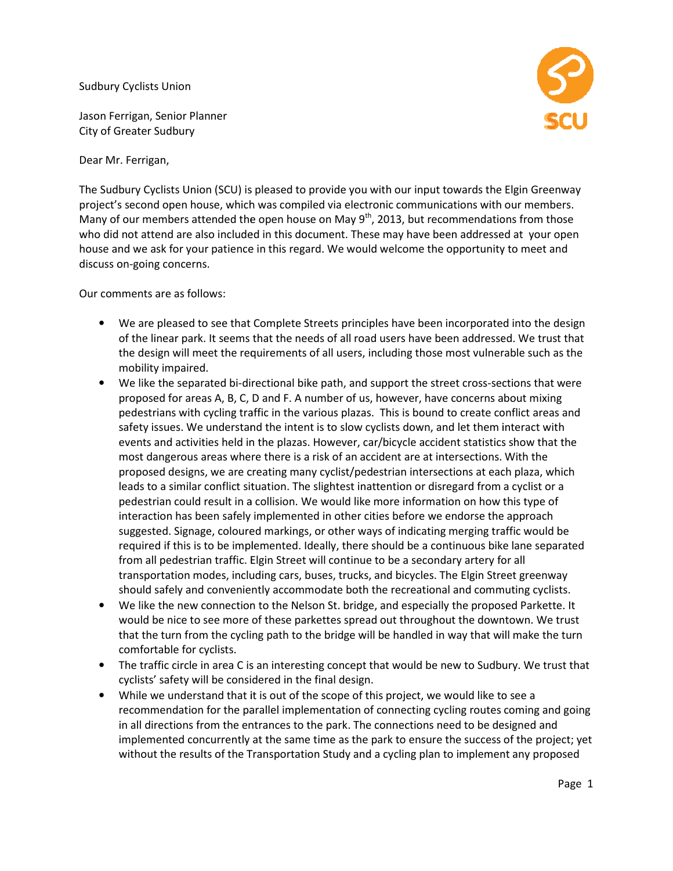Sudbury Cyclists Union

Jason Ferrigan, Senior Planner City of Greater Sudbury

Dear Mr. Ferrigan,

The Sudbury Cyclists Union (SCU) is pleased to provide you with our input towards the Elgin Greenway The Sudbury Cyclists Union (SCU) is pleased to provide you with our input towards the Elgin Greenwa<sup>,</sup><br>project's second open house, which was compiled via electronic communications with our members. project's second open house, which was compiled via electronic communications with our members.<br>Many of our members attended the open house on May 9<sup>th</sup>, 2013, but recommendations from those who did not attend are also included in this document. These may have been addressed at your open house and we ask for your patience in this regard. We would welcome the opportunity to meet and discuss on-going concerns.

Our comments are as follows:

- We are pleased to see that Complete Streets principles have been incorporated into the design of the linear park. It seems that the needs of all road users have been addressed. We trust that the design will meet the requirements of all users, including those most vulnerable such as the mobility impaired. at Complete Streets principles have been incorporated into the de<br>ns that the needs of all road users have been addressed. We trust t<br>requirements of all users, including those most vulnerable such as
- We like the separated bi-directional bike path, and support the street cross-sections that were proposed for areas A, B, C, D and F. A number of us, however, have concerns about mixing pedestrians with cycling traffic in proposed for areas A, B, C, D and F. A number of us, however, have concerns about mixing pedestrians with cycling traffic in the various plazas. This is bound to create conflict areas and safety issues. We understand the intent is to slow cyclists down, and let them interact with events and activities held in the plazas. However, car/bicycle accident statistics show that the most dangerous areas where there is a risk of an accident are at intersections. With the proposed designs, we are creating many cyclist/pedestrian intersections at each plaza leads to a similar conflict situation. The slightest inattention or disregard from a cyclist or a pedestrian could result in a collision. We would like more information on how this type of interaction has been safely implemented in other cities before we endorse the suggested. Signage, coloured markings, or other ways of indicating merging traffic would be required if this is to be implemented. Ideally, there should be a continuous bike lane separated from all pedestrian traffic. Elgin Street will continue to be a secondary artery for all from all pedestrian traffic. Elgin Street will continue to be a secondary artery for all<br>transportation modes, including cars, buses, trucks, and bicycles. The Elgin Street greenway should safely and conveniently accommodate both the recreational and commuting cyclists. ost dangerous areas where there is a risk of an accident are at intersections. With the<br>oposed designs, we are creating many cyclist/pedestrian intersections at each plaza, whic<br>ads to a similar conflict situation. The sli plaza, which ard from a cyclist or<br>I on how this type of<br>dorse the approach or other ways of indicating merging traffic would be<br>eally, there should be a continuous bike lane separatec<br>vill continue to be a secondary artery for all<br>uses, trucks, and bicycles. The Elgin Street greenway<br>odate both t
- We like the new connection to the Nelson St. bridge, and especially the proposed Parkette. It would be nice to see more of these parkettes spread out throughout the downtown. We trust would be nice to see more of these parkettes spread out throughout the downtown. We trust<br>that the turn from the cycling path to the bridge will be handled in way that will make the turn comfortable for cyclists. that the turn from the cycling path to the bridge will be handled in way that will make the turn<br>comfortable for cyclists.<br>The traffic circle in area C is an interesting concept that would be new to Sudbury. We trust that
- cyclists' safety will be considered in the final design.
- While we understand that it is out of the scope of this project, we would like to see a recommendation for the parallel implementation of connecting cycling routes coming and going recommendation for the parallel implementation of connecting cycling routes coming and going in all directions from the entrances to the park. The connections need to be designed and in all directions from the entrances to the park. The connections need to be designed and<br>implemented concurrently at the same time as the park to ensure the success of the project; yet without the results of the Transportation Study and a cycling plan to implement any proposed mentation of connecting cycling routes coming<br>the park. The connections need to be designed a<br>time as the park to ensure the success of the p<br>on Study and a cycling plan to implement any pr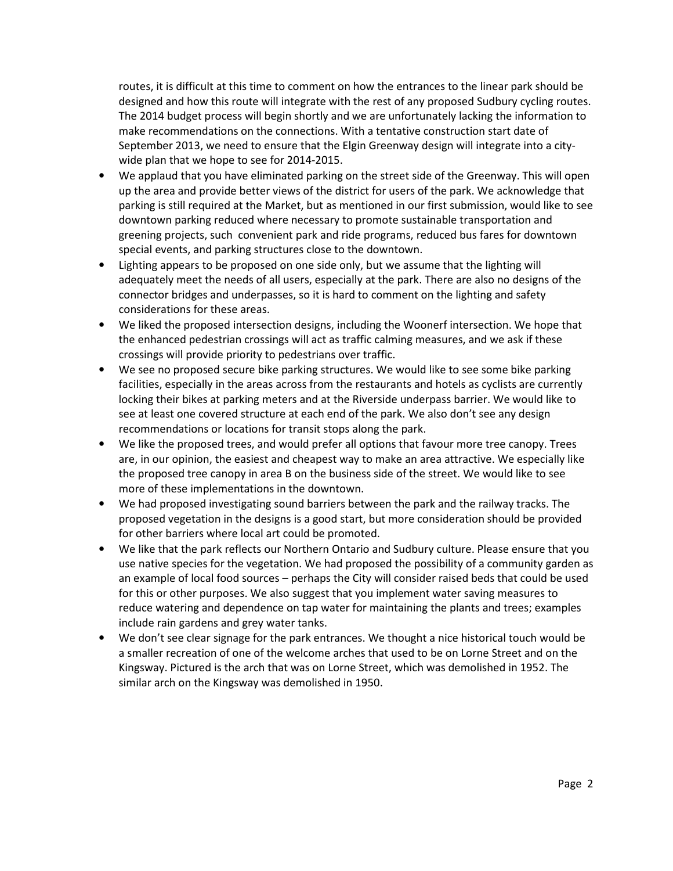routes, it is difficult at this time to comment on how the entrances to the linear park should be designed and how this route will integrate with the rest of any proposed Sudbury cycling routes. The 2014 budget process will begin shortly and we are unfortunately lacking the information to make recommendations on the connections. With a tentative construction start date of September 2013, we need to ensure that the Elgin Greenway design will integrate into a citywide plan that we hope to see for 2014-2015.

- We applaud that you have eliminated parking on the street side of the Greenway. This will open up the area and provide better views of the district for users of the park. We acknowledge that parking is still required at the Market, but as mentioned in our first submission, would like to see downtown parking reduced where necessary to promote sustainable transportation and greening projects, such convenient park and ride programs, reduced bus fares for downtown special events, and parking structures close to the downtown.
- Lighting appears to be proposed on one side only, but we assume that the lighting will adequately meet the needs of all users, especially at the park. There are also no designs of the connector bridges and underpasses, so it is hard to comment on the lighting and safety considerations for these areas.
- We liked the proposed intersection designs, including the Woonerf intersection. We hope that the enhanced pedestrian crossings will act as traffic calming measures, and we ask if these crossings will provide priority to pedestrians over traffic.
- We see no proposed secure bike parking structures. We would like to see some bike parking facilities, especially in the areas across from the restaurants and hotels as cyclists are currently locking their bikes at parking meters and at the Riverside underpass barrier. We would like to see at least one covered structure at each end of the park. We also don't see any design recommendations or locations for transit stops along the park.
- We like the proposed trees, and would prefer all options that favour more tree canopy. Trees are, in our opinion, the easiest and cheapest way to make an area attractive. We especially like the proposed tree canopy in area B on the business side of the street. We would like to see more of these implementations in the downtown.
- We had proposed investigating sound barriers between the park and the railway tracks. The proposed vegetation in the designs is a good start, but more consideration should be provided for other barriers where local art could be promoted.
- We like that the park reflects our Northern Ontario and Sudbury culture. Please ensure that you use native species for the vegetation. We had proposed the possibility of a community garden as an example of local food sources – perhaps the City will consider raised beds that could be used for this or other purposes. We also suggest that you implement water saving measures to reduce watering and dependence on tap water for maintaining the plants and trees; examples include rain gardens and grey water tanks.
- We don't see clear signage for the park entrances. We thought a nice historical touch would be a smaller recreation of one of the welcome arches that used to be on Lorne Street and on the Kingsway. Pictured is the arch that was on Lorne Street, which was demolished in 1952. The similar arch on the Kingsway was demolished in 1950.